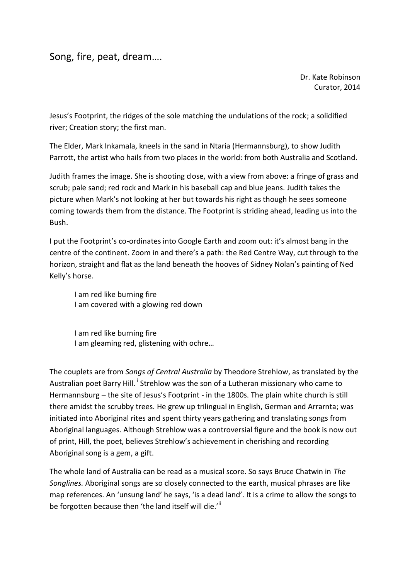Song, fire, peat, dream….

Dr. Kate Robinson Curator, 2014

Jesus's Footprint, the ridges of the sole matching the undulations of the rock; a solidified river; Creation story; the first man.

The Elder, Mark Inkamala, kneels in the sand in Ntaria (Hermannsburg), to show Judith Parrott, the artist who hails from two places in the world: from both Australia and Scotland.

Judith frames the image. She is shooting close, with a view from above: a fringe of grass and scrub; pale sand; red rock and Mark in his baseball cap and blue jeans. Judith takes the picture when Mark's not looking at her but towards his right as though he sees someone coming towards them from the distance. The Footprint is striding ahead, leading us into the Bush.

I put the Footprint's co-ordinates into Google Earth and zoom out: it's almost bang in the centre of the continent. Zoom in and there's a path: the Red Centre Way, cut through to the horizon, straight and flat as the land beneath the hooves of Sidney Nolan's painting of Ned Kelly's horse.

I am red like burning fire I am covered with a glowing red down

I am red like burning fire I am gleaming red, glistening with ochre…

The couplets are from *Songs of Central Australia* by Theodore Strehlow, as translated by the Australian poet Barry Hill. <sup>i</sup> Strehlow was the son of a Lutheran missionary who came to Hermannsburg – the site of Jesus's Footprint - in the 1800s. The plain white church is still there amidst the scrubby trees. He grew up trilingual in English, German and Arrarnta; was initiated into Aboriginal rites and spent thirty years gathering and translating songs from Aboriginal languages. Although Strehlow was a controversial figure and the book is now out of print, Hill, the poet, believes Strehlow's achievement in cherishing and recording Aboriginal song is a gem, a gift.

The whole land of Australia can be read as a musical score. So says Bruce Chatwin in *The Songlines.* Aboriginal songs are so closely connected to the earth, musical phrases are like map references. An 'unsung land' he says, 'is a dead land'. It is a crime to allow the songs to be forgotten because then 'the land itself will die.'<sup>ii</sup>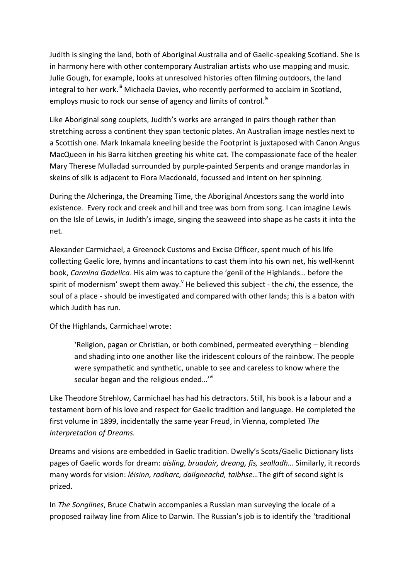Judith is singing the land, both of Aboriginal Australia and of Gaelic-speaking Scotland. She is in harmony here with other contemporary Australian artists who use mapping and music. Julie Gough, for example, looks at unresolved histories often filming outdoors, the land integral to her work.<sup>iii</sup> Michaela Davies, who recently performed to acclaim in Scotland, employs music to rock our sense of agency and limits of control.<sup>iv</sup>

Like Aboriginal song couplets, Judith's works are arranged in pairs though rather than stretching across a continent they span tectonic plates. An Australian image nestles next to a Scottish one. Mark Inkamala kneeling beside the Footprint is juxtaposed with Canon Angus MacQueen in his Barra kitchen greeting his white cat. The compassionate face of the healer Mary Therese Mulladad surrounded by purple-painted Serpents and orange mandorlas in skeins of silk is adjacent to Flora Macdonald, focussed and intent on her spinning.

During the Alcheringa, the Dreaming Time, the Aboriginal Ancestors sang the world into existence. Every rock and creek and hill and tree was born from song. I can imagine Lewis on the Isle of Lewis, in Judith's image, singing the seaweed into shape as he casts it into the net.

Alexander Carmichael, a Greenock Customs and Excise Officer, spent much of his life collecting Gaelic lore, hymns and incantations to cast them into his own net, his well-kennt book, *Carmina Gadelica*. His aim was to capture the 'genii of the Highlands… before the spirit of modernism' swept them away.<sup>V</sup> He believed this subject - the *chi*, the essence, the soul of a place - should be investigated and compared with other lands; this is a baton with which Judith has run.

Of the Highlands, Carmichael wrote:

'Religion, pagan or Christian, or both combined, permeated everything – blending and shading into one another like the iridescent colours of the rainbow. The people were sympathetic and synthetic, unable to see and careless to know where the secular began and the religious ended...'<sup>v</sup>

Like Theodore Strehlow, Carmichael has had his detractors. Still, his book is a labour and a testament born of his love and respect for Gaelic tradition and language. He completed the first volume in 1899, incidentally the same year Freud, in Vienna, completed *The Interpretation of Dreams.* 

Dreams and visions are embedded in Gaelic tradition. Dwelly's Scots/Gaelic Dictionary lists pages of Gaelic words for dream: *aisling, bruadair, dreang, fis, sealladh…* Similarly, it records many words for vision: *léisinn, radharc, dailgneachd, taibhse…*The gift of second sight is prized.

In *The Songlines*, Bruce Chatwin accompanies a Russian man surveying the locale of a proposed railway line from Alice to Darwin. The Russian's job is to identify the 'traditional